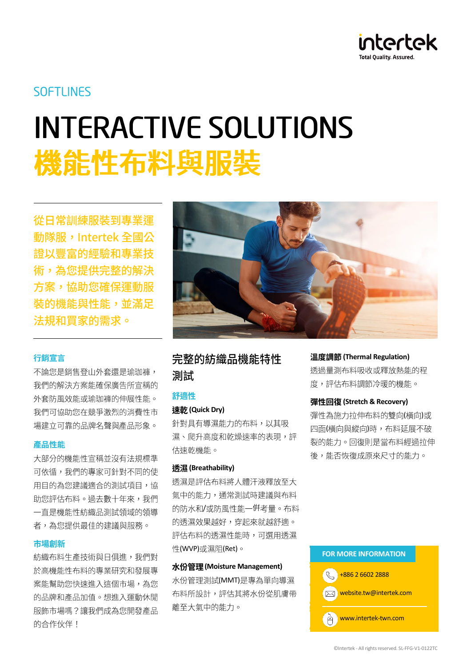

## **SOFTLINES**

# **INTERACTIVE SOLUTIONS** 機能性布料與服裝

從日常訓練服裝到專業渾 動隊服,Intertek 全國公 證以豐富的經驗和專業技 術,為您提供完整的解決 方案,協助您確保運動服 裝的機能與性能,並滿足 法規和買家的需求。

#### 行銷宣言

不論您是銷售登山外套還是瑜珈褲, 我們的解決方案能確保廣告所宣稱的 外套防風效能或瑜珈褲的伸展性能。 我們可協助您在競爭激烈的消費性市 場建立可靠的品牌名聲與產品形象。

#### 產品性能

大部分的機能性宣稱並沒有法規標準 可依循,我們的專家可針對不同的使 用目的為您建議適合的測試項目,協 助您評估布料。過去數十年來,我們 一直是機能性紡織品測試領域的領導 者,為您提供最佳的建議與服務。

#### 市場創新

紡織布料生產技術與日俱進,我們對 於高機能性布料的專業研究和發展專 案能幫助您快速進入這個市場,為您 的品牌和產品加值。想進入運動休間 服飾市場嗎?讓我們成為您開發產品 的合作伙伴!



## 完整的紡織品機能特性 測試

#### 舒適性

#### **(Quick Dry)**

針對具有導濕能力的布料,以其吸 濕、爬升高度和乾燥速率的表現,評 估速乾機能。

#### **(Breathability)**

诱濕是評估布料將人體汗液釋放至大 氣中的能力,通常測試時建議與布料 的防水和/或防風性能一倂考量。布料 的透濕效果越好,穿起來就越舒適。 評估布料的透濕性能時,可選用透濕 性(WVP)或濕阻(Ret)。

#### **(Moisture Management)**

水份管理測試(MMT)是專為單向導濕 布料所設計,評估其將水份從肌膚帶 離至大氣中的能力。

**(Thermal Regulation)**

透過量測布料吸收或釋放熱能的程 度,評估布料調節冷暖的機能。

#### **(Stretch & Recovery)**

彈性為施力拉伸布料的雙向(橫向)或 四面(横向與縱向)時,布料延展不破 裂的能力。回復則是當布料經過拉伸 後,能否恢復成原來尺寸的能力。

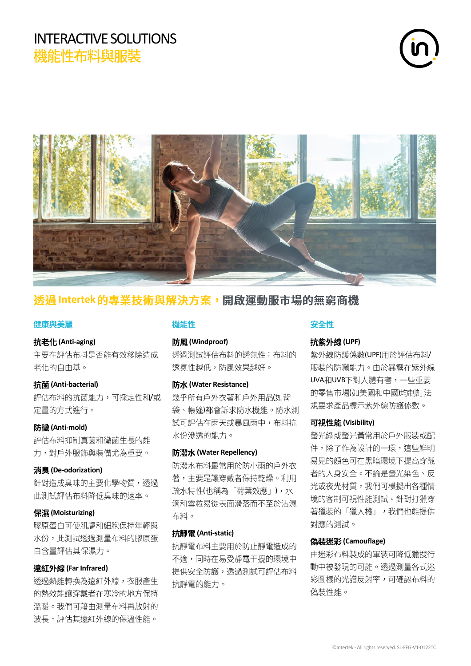## INTERACTIVE SOLUTIONS 機能性布料與服裝





## 透過 Intertek 的專業技術與解決方案,開啟運動服市場的無窮商機

#### 健康與美麗

#### **(Anti-aging)**

主要在評估布料是否能有效移除造成 老化的自由基。

#### **(Anti-bacterial)**

評估布料的抗菌能力,可採定性和/或 定量的方式進行。

#### **(Anti-mold)**

評估布料抑制真菌和黴菌生長的能 力,對戶外服飾與裝備尤為重要。

#### **(De-odorization)**

針對造成臭味的主要化學物質,透過 此測試評估布料降低臭味的涑率。

#### **(Moisturizing)**

膠原蛋白可使肌膚和細胞保持年輕與 水份,此測試透過測量布料的膠原蛋 白含量評估其保濕力。

#### **(Far Infrared)**

透過熱能轉換為遠紅外線,衣服產生 的熱效能讓穿戴者在寒冷的地方保持 溫暖。我們可藉由測量布料再放射的 波長,評估其遠紅外線的保溫性能。

#### 機能性

#### **(Windproof)**

透過測試評估布料的透氣性;布料的 透氣性越低,防風效果越好。

#### **(Water Resistance)**

幾乎所有戶外衣著和戶外用品(如背 袋、帳篷)都會訴求防水機能。防水測 試可評估在雨天或暴風雨中,布料抗 水份滲透的能力。

#### **(Water Repellency)**

防潑水布料最常用於防小雨的戶外衣 著,主要是讓穿戴者保持乾燥。利用 疏水特性(也稱為「荷葉效應」),水 滴和雪粒易從表面滑落而不至於沾濕 布料。

#### **(Anti-static)**

抗靜雷布料主要用於防止靜雷浩成的 不適,同時在易受靜電干擾的環境中 提供安全防護,透過測試可評估布料 抗靜雷的能力。

#### 安全性

#### **(UPF)**

紫外線防護係數(UPF)用於評估布料/ 服裝的防曬能力。由於暴露在紫外線 UVA和UVB下對人體有害,一些重要 的零售市場(如美國和中國)均制訂法 規要求產品標示紫外線防護係數。

#### **(Visibility)**

螢光綠或螢光黃常用於戶外服裝或配 件,除了作為設計的一環,這些鮮明 易見的顏色可在黑暗環境下提高穿戴 者的人身安全。不論是螢光染色、反 光或夜光材質,我們可模擬出各種情 境的客制可視性能測試。針對打獵穿 著獵裝的「獵人橘」,我們也能提供 對應的測試。

#### **(Camouflage)**

由迷彩布料製成的軍裝可降低獵搜行 動中被發現的可能。透過測量各式迷 彩圖樣的光譜反射率,可確認布料的 偽裝性能。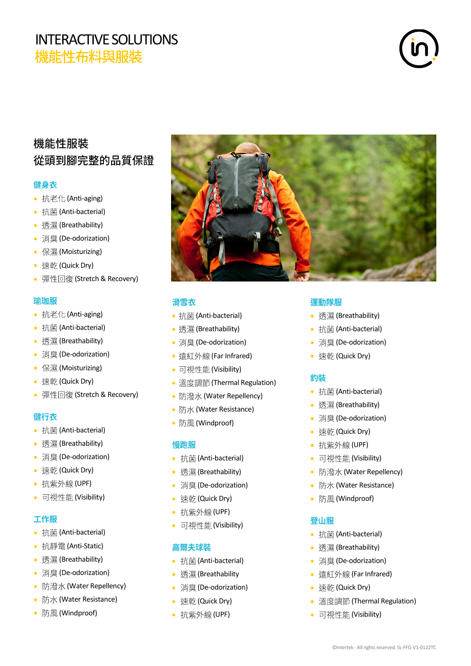## INTERACTIVE SOLUTIONS<br>機能性布料與服裝



## 機能性服裝 從頭到腳完整的品質保證

#### 健身衣

- 抗老化 (Anti-aging)
- 抗菌 (Anti-bacterial)
- 透濕 (Breathability)
- 消臭 (De-odorization)
- 保濕 (Moisturizing)
- 速乾 (Quick Dry)
- 彈性回復 (Stretch & Recovery)

#### 瑜珈服

- 抗老化 (Anti-aging)
- 抗菌 (Anti-bacterial)
- 透濕 (Breathability)
- 消臭 (De-odorization)
- 保濕 (Moisturizing)
- 速乾 (Quick Dry)
- 彈性回復 (Stretch & Recovery)

#### 健行衣

- 抗菌 (Anti-bacterial)
- 透濕 (Breathability)
- 消臭 (De-odorization)
- 速乾 (Quick Dry)
- 抗紫外線 (UPF)
- 可視性能 (Visibility)

#### 工作服

- 抗菌 (Anti-bacterial)
- 抗靜電 (Anti-Static)
- 透濕 (Breathability)
- 消臭 (De-odorization)
- 防潑水 (Water Repellency)
- 防水 (Water Resistance)
- 防風 (Windproof)



#### 滑雪衣

- 抗菌 (Anti-bacterial)
- 透濕 (Breathability)
- 消臭 (De-odorization)
- 遠紅外線 (Far Infrared)
- 可視性能 (Visibility)
- 溫度調節 (Thermal Regulation)
- 防潑水 (Water Repellency)
- 防水 (Water Resistance)
- 防風 (Windproof)

#### 慢跑服

- 抗菌 (Anti-bacterial)
- 透濕 (Breathability)
- 消臭 (De-odorization)
- 速乾 (Quick Dry)
- 抗紫外線 (UPF)
- 可視性能 (Visibility)

#### 高爾夫球裝

- 抗菌 (Anti-bacterial)
- 透濕 (Breathability
- 消臭 (De-odorization)
- 速乾 (Quick Dry)
- 抗紫外線 (UPF)

#### 運動隊服

- 透濕 (Breathability)
- 抗菌 (Anti-bacterial)
- 消臭 (De-odorization)
- 速乾 (Quick Dry)

#### 釣裝

- 抗菌 (Anti-bacterial)
- 透濕 (Breathability)
- 消臭 (De-odorization)
- 速乾 (Quick Dry)
- 抗紫外線 (UPF)
- 可視性能 (Visibility)
- 防潑水 (Water Repellency)
- 防水 (Water Resistance)
- 防風 (Windproof)

#### 登山服

- 抗菌 (Anti-bacterial)
- 透濕 (Breathability)
- 消臭 (De-odorization)
- 遠紅外線 (Far Infrared)
- 速乾 (Quick Dry)
- 溫度調節 (Thermal Regulation)
- 可視性能 (Visibility)